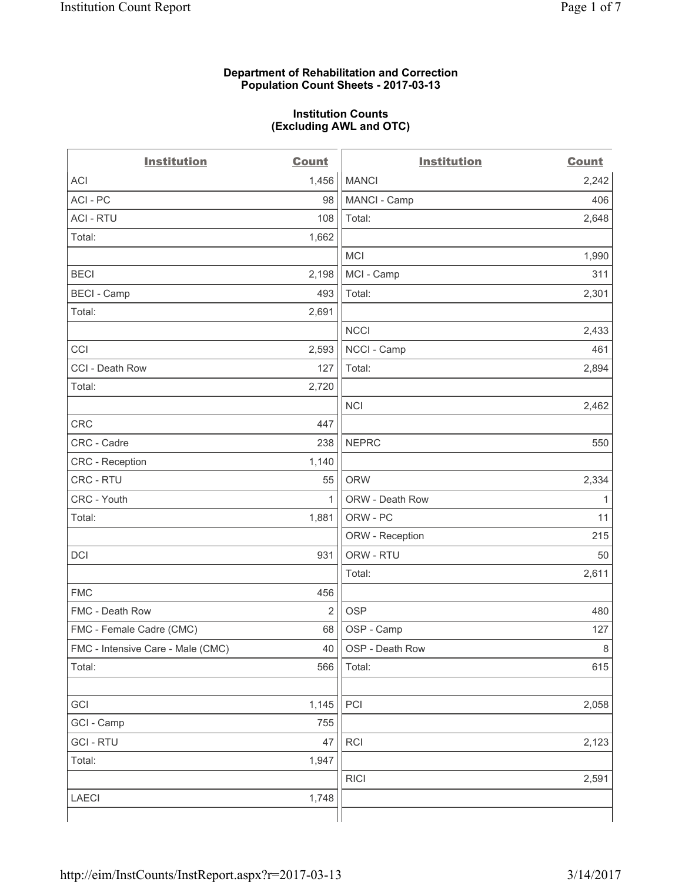## **Department of Rehabilitation and Correction Population Count Sheets - 2017-03-13**

#### **Institution Counts (Excluding AWL and OTC)**

 $-$ 

| <b>Institution</b>                | <b>Count</b>   | <b>Institution</b> | <b>Count</b> |
|-----------------------------------|----------------|--------------------|--------------|
| ACI                               | 1,456          | <b>MANCI</b>       | 2,242        |
| ACI - PC                          | 98             | MANCI - Camp       | 406          |
| <b>ACI - RTU</b>                  | 108            | Total:             | 2,648        |
| Total:                            | 1,662          |                    |              |
|                                   |                | MCI                | 1,990        |
| <b>BECI</b>                       | 2,198          | MCI - Camp         | 311          |
| <b>BECI</b> - Camp                | 493            | Total:             | 2,301        |
| Total:                            | 2,691          |                    |              |
|                                   |                | <b>NCCI</b>        | 2,433        |
| CCI                               | 2,593          | NCCI - Camp        | 461          |
| CCI - Death Row                   | 127            | Total:             | 2,894        |
| Total:                            | 2,720          |                    |              |
|                                   |                | <b>NCI</b>         | 2,462        |
| <b>CRC</b>                        | 447            |                    |              |
| CRC - Cadre                       | 238            | <b>NEPRC</b>       | 550          |
| CRC - Reception                   | 1,140          |                    |              |
| CRC - RTU                         | 55             | <b>ORW</b>         | 2,334        |
| CRC - Youth                       | $\mathbf{1}$   | ORW - Death Row    | 1            |
| Total:                            | 1,881          | ORW - PC           | 11           |
|                                   |                | ORW - Reception    | 215          |
| DCI                               | 931            | ORW - RTU          | 50           |
|                                   |                | Total:             | 2,611        |
| <b>FMC</b>                        | 456            |                    |              |
| FMC - Death Row                   | $\overline{2}$ | <b>OSP</b>         | 480          |
| FMC - Female Cadre (CMC)          | 68             | OSP - Camp         | 127          |
| FMC - Intensive Care - Male (CMC) | 40             | OSP - Death Row    | 8            |
| Total:                            | 566            | Total:             | 615          |
|                                   |                |                    |              |
| GCI                               | 1,145          | PCI                | 2,058        |
| GCI - Camp                        | 755            |                    |              |
| <b>GCI-RTU</b>                    | 47             | RCI                | 2,123        |
| Total:                            | 1,947          |                    |              |
|                                   |                | <b>RICI</b>        | 2,591        |
| LAECI                             | 1,748          |                    |              |
|                                   |                |                    |              |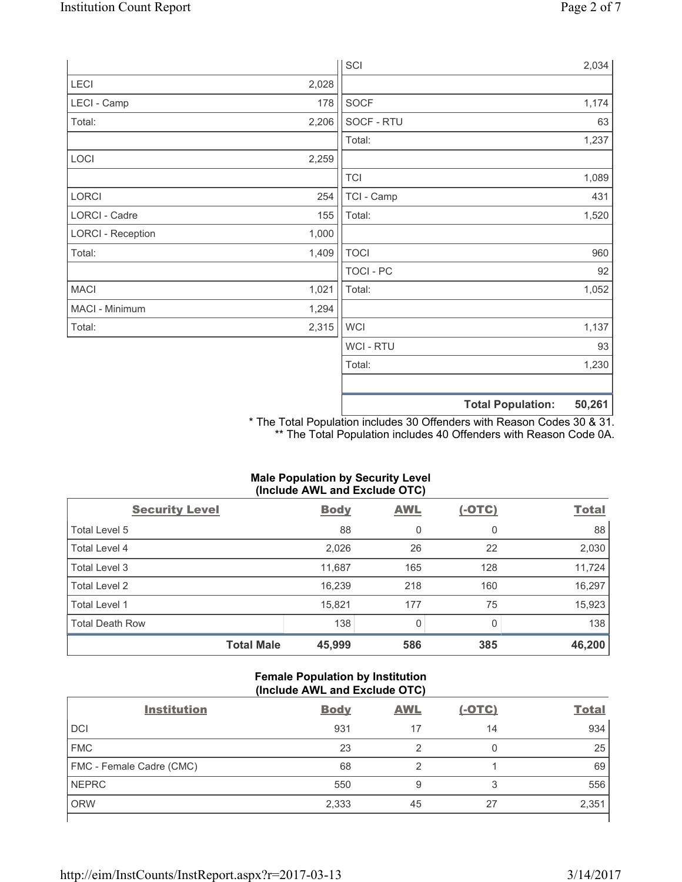|                          |       | SCI            | 2,034                              |
|--------------------------|-------|----------------|------------------------------------|
| LECI                     | 2,028 |                |                                    |
| LECI - Camp              | 178   | SOCF           | 1,174                              |
| Total:                   | 2,206 | SOCF - RTU     | 63                                 |
|                          |       | Total:         | 1,237                              |
| LOCI                     | 2,259 |                |                                    |
|                          |       | <b>TCI</b>     | 1,089                              |
| LORCI                    | 254   | TCI - Camp     | 431                                |
| LORCI - Cadre            | 155   | Total:         | 1,520                              |
| <b>LORCI - Reception</b> | 1,000 |                |                                    |
| Total:                   | 1,409 | <b>TOCI</b>    | 960                                |
|                          |       | TOCI - PC      | 92                                 |
| <b>MACI</b>              | 1,021 | Total:         | 1,052                              |
| MACI - Minimum           | 1,294 |                |                                    |
| Total:                   | 2,315 | <b>WCI</b>     | 1,137                              |
|                          |       | <b>WCI-RTU</b> | 93                                 |
|                          |       | Total:         | 1,230                              |
|                          |       |                | 50,261<br><b>Total Population:</b> |

\* The Total Population includes 30 Offenders with Reason Codes 30 & 31. \*\* The Total Population includes 40 Offenders with Reason Code 0A.

# **Male Population by Security Level (Include AWL and Exclude OTC)**

| $\mathbf{v}$<br><b>Security Level</b> | <b>Body</b> | $\mathbf{r}$<br><b>AWL</b> | $(-OTC)$     | <b>Total</b> |
|---------------------------------------|-------------|----------------------------|--------------|--------------|
| Total Level 5                         | 88          | 0                          | 0            | 88           |
| Total Level 4                         | 2,026       | 26                         | 22           | 2,030        |
| Total Level 3                         | 11,687      | 165                        | 128          | 11,724       |
| Total Level 2                         | 16,239      | 218                        | 160          | 16,297       |
| <b>Total Level 1</b>                  | 15,821      | 177                        | 75           | 15,923       |
| <b>Total Death Row</b>                | 138         | $\Omega$                   | <sup>0</sup> | 138          |
| <b>Total Male</b>                     | 45,999      | 586                        | 385          | 46,200       |

## **Female Population by Institution (Include AWL and Exclude OTC)**

| <b>Institution</b>       | <b>Body</b> | <b>AWL</b> | <u>(-OTC)</u> | <b>Total</b> |
|--------------------------|-------------|------------|---------------|--------------|
| <b>DCI</b>               | 931         | 17         | 14            | 934          |
| <b>FMC</b>               | 23          | 2          | 0             | 25           |
| FMC - Female Cadre (CMC) | 68          | റ          |               | 69           |
| <b>NEPRC</b>             | 550         | 9          | 3             | 556          |
| <b>ORW</b>               | 2,333       | 45         | 27            | 2,351        |
|                          |             |            |               |              |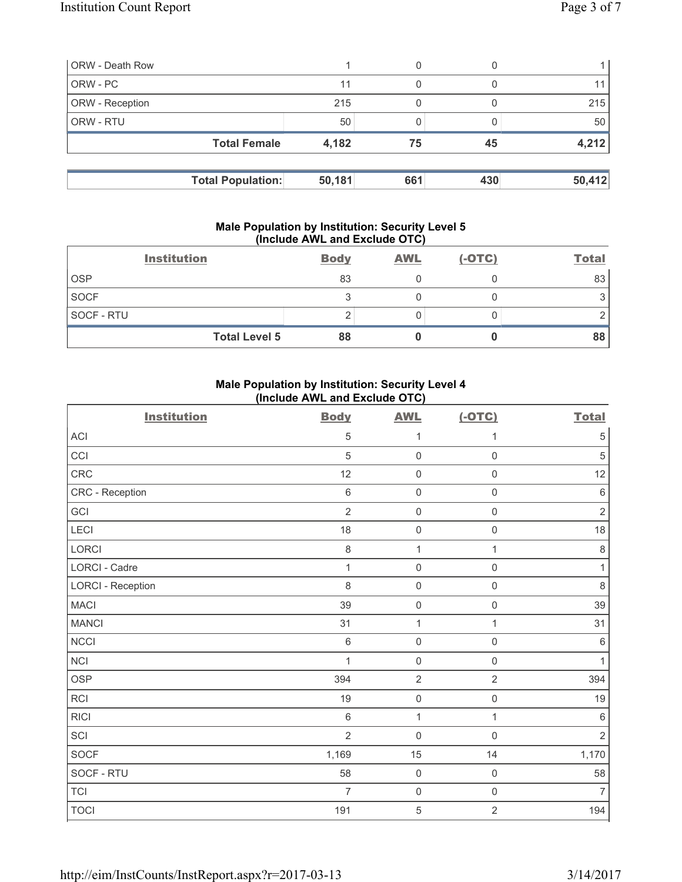| <b>ORW</b> - Death Row |                          |        | 0   |     |        |
|------------------------|--------------------------|--------|-----|-----|--------|
| ORW - PC               |                          | 11     |     |     |        |
| <b>ORW</b> - Reception |                          | 215    |     |     | 215    |
| <b>ORW - RTU</b>       |                          | 50     |     |     | 50     |
|                        | <b>Total Female</b>      | 4,182  | 75  | 45  | 4,212  |
|                        |                          |        |     |     |        |
|                        | <b>Total Population:</b> | 50,181 | 661 | 430 | 50,412 |

#### **Male Population by Institution: Security Level 5 (Include AWL and Exclude OTC)**

| <b>Institution</b>   | <b>Body</b> | <b>AWL</b> | $(-OTC)$ | <b>Total</b> |
|----------------------|-------------|------------|----------|--------------|
| <b>OSP</b>           | 83          |            |          | 83           |
| <b>SOCF</b>          | ◠           |            |          |              |
| SOCF - RTU           |             |            |          |              |
| <b>Total Level 5</b> | 88          |            |          | 88           |

# **Male Population by Institution: Security Level 4 (Include AWL and Exclude OTC)**

| <b>Institution</b>       | <b>Body</b>    | <b>AWL</b>          | $(-OTC)$            | <b>Total</b>   |
|--------------------------|----------------|---------------------|---------------------|----------------|
| ACI                      | 5              | 1                   | 1                   | $\,$ 5 $\,$    |
| CCI                      | 5              | $\mathsf{O}\xspace$ | $\mathbf 0$         | $\sqrt{5}$     |
| CRC                      | 12             | $\mathsf{O}\xspace$ | $\mathsf 0$         | 12             |
| CRC - Reception          | $\,6\,$        | $\mathsf{O}\xspace$ | $\mathsf 0$         | $\,6\,$        |
| GCI                      | $\overline{2}$ | $\mathsf{O}\xspace$ | $\mathsf 0$         | $\overline{2}$ |
| <b>LECI</b>              | 18             | $\mathsf 0$         | $\mathsf 0$         | 18             |
| LORCI                    | $\,8\,$        | $\mathbf{1}$        | $\mathbf{1}$        | 8              |
| LORCI - Cadre            | $\mathbf{1}$   | $\mathsf{O}\xspace$ | $\mathsf 0$         | 1              |
| <b>LORCI - Reception</b> | 8              | $\mathsf{O}\xspace$ | $\mathsf 0$         | $\,8\,$        |
| <b>MACI</b>              | 39             | $\mathsf{O}\xspace$ | $\mathsf 0$         | 39             |
| <b>MANCI</b>             | 31             | 1                   | 1                   | 31             |
| <b>NCCI</b>              | $\,6\,$        | 0                   | $\mathsf{O}\xspace$ | $\,6$          |
| <b>NCI</b>               | $\mathbf{1}$   | $\mathsf 0$         | $\mathsf 0$         | 1              |
| <b>OSP</b>               | 394            | $\sqrt{2}$          | $\sqrt{2}$          | 394            |
| RCI                      | 19             | 0                   | $\mathsf 0$         | 19             |
| <b>RICI</b>              | $\,6$          | $\mathbf{1}$        | $\mathbf{1}$        | $\,6\,$        |
| SCI                      | $\overline{2}$ | $\mathsf{O}\xspace$ | $\mathsf 0$         | $\sqrt{2}$     |
| SOCF                     | 1,169          | 15                  | 14                  | 1,170          |
| SOCF - RTU               | 58             | $\mathsf 0$         | $\mathsf{O}\xspace$ | 58             |
| <b>TCI</b>               | $\overline{7}$ | $\mathsf 0$         | $\mathsf 0$         | $\overline{7}$ |
| <b>TOCI</b>              | 191            | 5                   | $\overline{2}$      | 194            |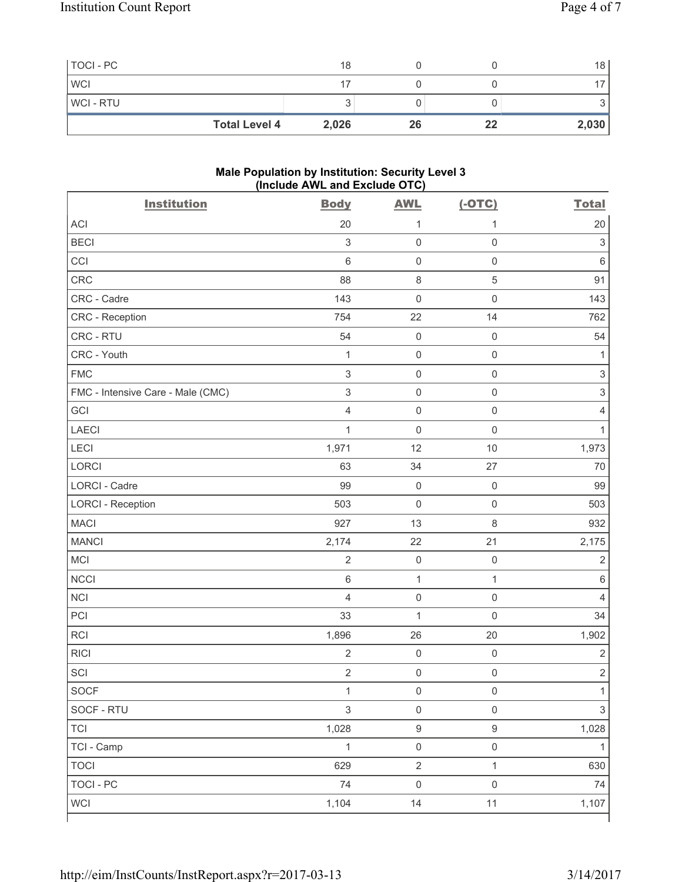| TOCI - PC            | 18    |    |    | 18    |
|----------------------|-------|----|----|-------|
| <b>WCI</b>           |       |    |    |       |
| WCI - RTU            |       |    |    | ັ     |
| <b>Total Level 4</b> | 2,026 | 26 | 22 | 2,030 |

#### **Male Population by Institution: Security Level 3 (Include AWL and Exclude OTC)**

| <b>Institution</b>                | <b>Body</b>               | <b>AWL</b>          | $(-OTC)$            | <b>Total</b>              |
|-----------------------------------|---------------------------|---------------------|---------------------|---------------------------|
| <b>ACI</b>                        | 20                        | 1                   | 1                   | 20                        |
| <b>BECI</b>                       | $\ensuremath{\mathsf{3}}$ | $\mathsf{O}\xspace$ | $\mathsf 0$         | $\ensuremath{\mathsf{3}}$ |
| CCI                               | 6                         | $\mathsf{O}\xspace$ | $\mathsf{O}\xspace$ | $\,6$                     |
| CRC                               | 88                        | $\,8\,$             | $\sqrt{5}$          | 91                        |
| CRC - Cadre                       | 143                       | $\mathbf 0$         | $\mathsf{O}\xspace$ | 143                       |
| <b>CRC</b> - Reception            | 754                       | 22                  | 14                  | 762                       |
| CRC - RTU                         | 54                        | $\mathsf{O}\xspace$ | $\mathsf 0$         | 54                        |
| CRC - Youth                       | $\mathbf 1$               | $\mathsf{O}\xspace$ | $\mathsf 0$         | 1                         |
| <b>FMC</b>                        | $\ensuremath{\mathsf{3}}$ | $\mathsf 0$         | $\mathsf 0$         | $\ensuremath{\mathsf{3}}$ |
| FMC - Intensive Care - Male (CMC) | $\sqrt{3}$                | $\mathsf{O}\xspace$ | $\mathsf 0$         | $\ensuremath{\mathsf{3}}$ |
| GCI                               | $\overline{4}$            | $\mathsf 0$         | $\mathsf 0$         | 4                         |
| <b>LAECI</b>                      | $\mathbf 1$               | $\mathsf{O}\xspace$ | $\mathsf 0$         | 1                         |
| LECI                              | 1,971                     | 12                  | 10                  | 1,973                     |
| <b>LORCI</b>                      | 63                        | 34                  | 27                  | 70                        |
| LORCI - Cadre                     | 99                        | $\mathsf{O}\xspace$ | $\mathsf 0$         | 99                        |
| <b>LORCI - Reception</b>          | 503                       | $\mathsf{O}\xspace$ | $\mathsf 0$         | 503                       |
| <b>MACI</b>                       | 927                       | 13                  | $\,8\,$             | 932                       |
| <b>MANCI</b>                      | 2,174                     | 22                  | 21                  | 2,175                     |
| MCI                               | $\sqrt{2}$                | $\mathsf{O}\xspace$ | $\mathsf{O}\xspace$ | $\sqrt{2}$                |
| <b>NCCI</b>                       | $\,6$                     | $\mathbf{1}$        | $\mathbf{1}$        | $\,6$                     |
| <b>NCI</b>                        | $\overline{4}$            | $\mathsf{O}\xspace$ | $\mathsf{O}\xspace$ | $\overline{4}$            |
| PCI                               | 33                        | $\mathbf 1$         | $\mathbf 0$         | 34                        |
| <b>RCI</b>                        | 1,896                     | 26                  | 20                  | 1,902                     |
| <b>RICI</b>                       | $\overline{2}$            | $\mathsf{O}\xspace$ | $\mathsf 0$         | $\sqrt{2}$                |
| SCI                               | $\sqrt{2}$                | $\mathsf{O}\xspace$ | $\mathsf 0$         | $\overline{2}$            |
| SOCF                              | $\mathbf{1}$              | $\mathsf 0$         | $\mathsf{O}\xspace$ | $\mathbf{1}$              |
| SOCF - RTU                        | $\mathfrak{S}$            | $\mathsf 0$         | $\mathsf 0$         | $\mathfrak{S}$            |
| <b>TCI</b>                        | 1,028                     | $\boldsymbol{9}$    | $\boldsymbol{9}$    | 1,028                     |
| TCI - Camp                        | $\mathbf{1}$              | $\mathsf{O}\xspace$ | $\mathsf 0$         | $\mathbf{1}$              |
| <b>TOCI</b>                       | 629                       | $\overline{2}$      | $\mathbf{1}$        | 630                       |
| <b>TOCI - PC</b>                  | 74                        | $\mathsf{O}\xspace$ | $\mathsf{O}\xspace$ | 74                        |
| <b>WCI</b>                        | 1,104                     | 14                  | 11                  | 1,107                     |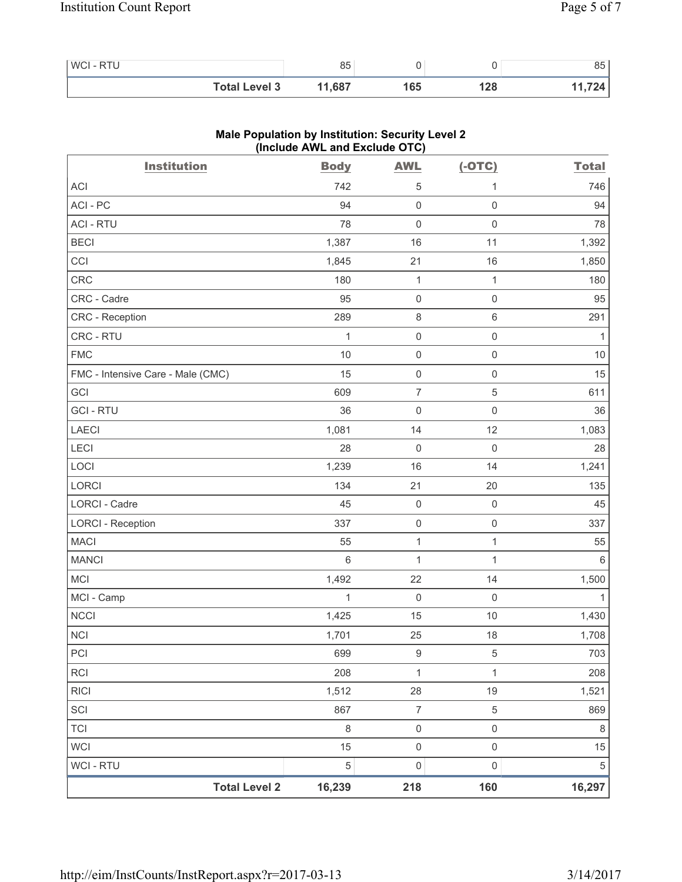| WCI - RTU |                      | 85     |    |     | 85 |
|-----------|----------------------|--------|----|-----|----|
|           | <b>Total Level 3</b> | 11,687 | 65 | 128 |    |

| <b>Institution</b>                | <b>Body</b>    | <b>AWL</b>          | $(-OTC)$            | <b>Total</b>    |
|-----------------------------------|----------------|---------------------|---------------------|-----------------|
| ACI                               | 742            | 5                   | 1                   | 746             |
| ACI-PC                            | 94             | $\mathsf{O}\xspace$ | $\mathsf 0$         | 94              |
| <b>ACI - RTU</b>                  | 78             | $\mathbf 0$         | $\mathsf 0$         | 78              |
| <b>BECI</b>                       | 1,387          | 16                  | 11                  | 1,392           |
| CCI                               | 1,845          | 21                  | 16                  | 1,850           |
| CRC                               | 180            | $\mathbf 1$         | $\mathbf{1}$        | 180             |
| CRC - Cadre                       | 95             | $\mathsf 0$         | $\mathsf 0$         | 95              |
| CRC - Reception                   | 289            | $\,8\,$             | $\,6\,$             | 291             |
| CRC - RTU                         | 1              | $\mathsf{O}\xspace$ | $\mathsf 0$         | 1               |
| <b>FMC</b>                        | 10             | $\mathsf{O}\xspace$ | $\mathsf{O}\xspace$ | 10              |
| FMC - Intensive Care - Male (CMC) | 15             | $\mathsf{O}\xspace$ | $\mathsf 0$         | 15              |
| GCI                               | 609            | $\overline{7}$      | $\,$ 5 $\,$         | 611             |
| <b>GCI-RTU</b>                    | 36             | $\mathsf{O}\xspace$ | $\mathsf 0$         | 36              |
| LAECI                             | 1,081          | 14                  | 12                  | 1,083           |
| LECI                              | 28             | $\mathsf{O}\xspace$ | $\mathsf 0$         | 28              |
| LOCI                              | 1,239          | 16                  | 14                  | 1,241           |
| LORCI                             | 134            | 21                  | 20                  | 135             |
| LORCI - Cadre                     | 45             | $\boldsymbol{0}$    | $\mathsf 0$         | 45              |
| <b>LORCI - Reception</b>          | 337            | $\mathsf{O}\xspace$ | $\mathsf 0$         | 337             |
| <b>MACI</b>                       | 55             | $\mathbf{1}$        | $\mathbf{1}$        | 55              |
| <b>MANCI</b>                      | $6\phantom{1}$ | $\mathbf 1$         | $\mathbf{1}$        | $6\phantom{1}6$ |
| MCI                               | 1,492          | 22                  | 14                  | 1,500           |
| MCI - Camp                        | 1              | $\mathsf{O}\xspace$ | $\mathsf 0$         | 1               |
| NCCI                              | 1,425          | 15                  | 10                  | 1,430           |
| <b>NCI</b>                        | 1,701          | 25                  | 18                  | 1,708           |
| PCI                               | 699            | $\boldsymbol{9}$    | 5                   | 703             |
| <b>RCI</b>                        | 208            | 1                   | 1                   | 208             |
| <b>RICI</b>                       | 1,512          | 28                  | 19                  | 1,521           |
| SCI                               | 867            | $\overline{7}$      | 5                   | 869             |
| <b>TCI</b>                        | $\,8\,$        | $\mathsf{O}\xspace$ | $\mathsf{O}\xspace$ | $\,8\,$         |
| <b>WCI</b>                        | 15             | $\mathsf{O}\xspace$ | $\mathsf{O}\xspace$ | 15              |
| <b>WCI-RTU</b>                    | 5              | $\mathbf 0$         | 0                   | 5               |
| <b>Total Level 2</b>              | 16,239         | 218                 | 160                 | 16,297          |

# **Male Population by Institution: Security Level 2 (Include AWL and Exclude OTC)**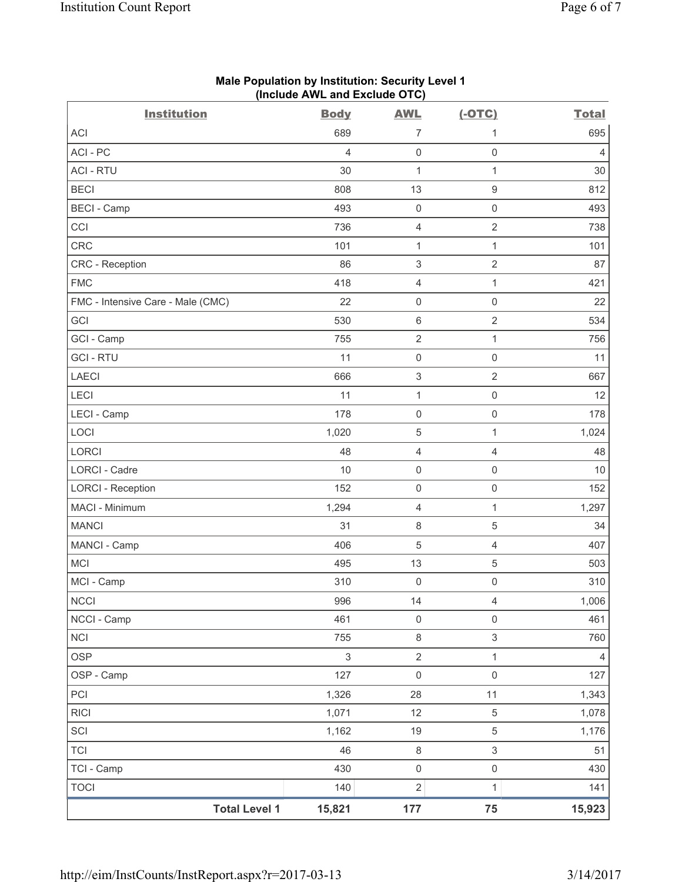| <b>Institution</b>                | <b>Body</b>    | <b>AWL</b>                | $(-OTC)$            | <b>Total</b>   |
|-----------------------------------|----------------|---------------------------|---------------------|----------------|
| <b>ACI</b>                        | 689            | 7                         | 1                   | 695            |
| ACI-PC                            | $\overline{4}$ | 0                         | $\mathsf{O}\xspace$ | $\overline{4}$ |
| <b>ACI - RTU</b>                  | 30             | $\mathbf{1}$              | $\mathbf{1}$        | 30             |
| <b>BECI</b>                       | 808            | 13                        | $\hbox{9}$          | 812            |
| <b>BECI</b> - Camp                | 493            | $\mathsf{O}\xspace$       | $\mathsf{O}\xspace$ | 493            |
| CCI                               | 736            | 4                         | $\overline{2}$      | 738            |
| CRC                               | 101            | $\mathbf{1}$              | $\mathbf{1}$        | 101            |
| <b>CRC</b> - Reception            | 86             | $\ensuremath{\mathsf{3}}$ | $\overline{2}$      | 87             |
| <b>FMC</b>                        | 418            | 4                         | $\mathbf{1}$        | 421            |
| FMC - Intensive Care - Male (CMC) | 22             | $\mathsf{O}\xspace$       | $\mathsf 0$         | 22             |
| GCI                               | 530            | $\,6\,$                   | $\overline{2}$      | 534            |
| GCI - Camp                        | 755            | $\overline{2}$            | $\mathbf{1}$        | 756            |
| <b>GCI-RTU</b>                    | 11             | $\mathsf 0$               | $\mathsf{O}\xspace$ | 11             |
| <b>LAECI</b>                      | 666            | 3                         | $\overline{2}$      | 667            |
| LECI                              | 11             | $\mathbf 1$               | $\mathsf 0$         | 12             |
| LECI - Camp                       | 178            | $\mathsf{O}\xspace$       | $\mathsf{O}\xspace$ | 178            |
| LOCI                              | 1,020          | 5                         | $\mathbf{1}$        | 1,024          |
| <b>LORCI</b>                      | 48             | 4                         | $\overline{4}$      | 48             |
| LORCI - Cadre                     | 10             | $\mathsf{O}\xspace$       | $\mathsf{O}\xspace$ | 10             |
| <b>LORCI - Reception</b>          | 152            | $\mathsf{O}\xspace$       | $\mathsf 0$         | 152            |
| MACI - Minimum                    | 1,294          | 4                         | $\mathbf{1}$        | 1,297          |
| <b>MANCI</b>                      | 31             | $\,8\,$                   | $\mathbf 5$         | 34             |
| MANCI - Camp                      | 406            | 5                         | $\overline{4}$      | 407            |
| <b>MCI</b>                        | 495            | 13                        | $\mathbf 5$         | 503            |
| MCI - Camp                        | 310            | $\boldsymbol{0}$          | $\mathsf{O}\xspace$ | 310            |
| <b>NCCI</b>                       | 996            | 14                        | $\overline{4}$      | 1,006          |
| NCCI - Camp                       | 461            | $\mathsf{O}\xspace$       | $\mathsf{O}\xspace$ | 461            |
| <b>NCI</b>                        | 755            | $\,8\,$                   | $\mathfrak{S}$      | 760            |
| <b>OSP</b>                        | 3              | $\sqrt{2}$                | $\mathbf{1}$        | 4              |
| OSP - Camp                        | 127            | $\mathsf{O}\xspace$       | $\mathsf{O}\xspace$ | 127            |
| PCI                               | 1,326          | 28                        | 11                  | 1,343          |
| <b>RICI</b>                       | 1,071          | 12                        | 5                   | 1,078          |
| SCI                               | 1,162          | $19$                      | 5                   | 1,176          |
| <b>TCI</b>                        | 46             | $\,8\,$                   | $\mathfrak{S}$      | 51             |
| TCI - Camp                        | 430            | $\boldsymbol{0}$          | $\mathsf{O}\xspace$ | 430            |
| <b>TOCI</b>                       | 140            | $\overline{2}$            | $\mathbf{1}$        | 141            |
| <b>Total Level 1</b>              | 15,821         | 177                       | 75                  | 15,923         |

## **Male Population by Institution: Security Level 1 (Include AWL and Exclude OTC)**